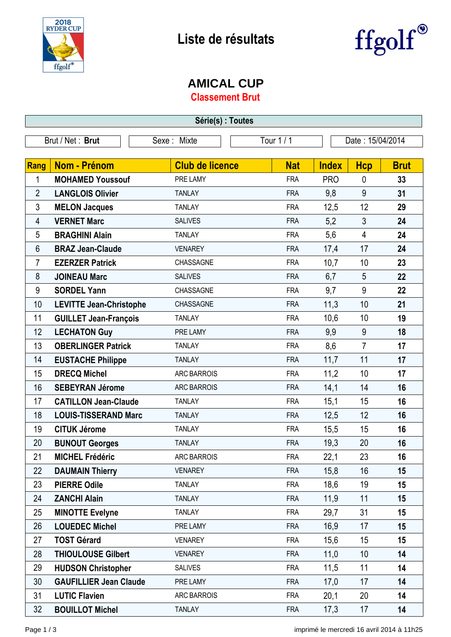



## **AMICAL CUP**

**Classement Brut**

| Série(s) : Toutes |                                |                        |            |                  |                |             |  |
|-------------------|--------------------------------|------------------------|------------|------------------|----------------|-------------|--|
| Brut / Net: Brut  |                                | Sexe: Mixte            | Tour 1 / 1 | Date: 15/04/2014 |                |             |  |
|                   |                                |                        |            |                  |                |             |  |
| Rang              | <b>Nom - Prénom</b>            | <b>Club de licence</b> | <b>Nat</b> | <b>Index</b>     | <b>Hcp</b>     | <b>Brut</b> |  |
| 1                 | <b>MOHAMED Youssouf</b>        | PRE LAMY               | <b>FRA</b> | <b>PRO</b>       | 0              | 33          |  |
| $\overline{2}$    | <b>LANGLOIS Olivier</b>        | <b>TANLAY</b>          | <b>FRA</b> | 9,8              | 9              | 31          |  |
| 3                 | <b>MELON Jacques</b>           | <b>TANLAY</b>          | <b>FRA</b> | 12,5             | 12             | 29          |  |
| 4                 | <b>VERNET Marc</b>             | <b>SALIVES</b>         | <b>FRA</b> | 5,2              | 3              | 24          |  |
| 5                 | <b>BRAGHINI Alain</b>          | <b>TANLAY</b>          | <b>FRA</b> | 5,6              | 4              | 24          |  |
| 6                 | <b>BRAZ Jean-Claude</b>        | <b>VENAREY</b>         | <b>FRA</b> | 17,4             | 17             | 24          |  |
| 7                 | <b>EZERZER Patrick</b>         | CHASSAGNE              | <b>FRA</b> | 10,7             | 10             | 23          |  |
| 8                 | <b>JOINEAU Marc</b>            | <b>SALIVES</b>         | <b>FRA</b> | 6,7              | 5              | 22          |  |
| 9                 | <b>SORDEL Yann</b>             | CHASSAGNE              | <b>FRA</b> | 9,7              | 9              | 22          |  |
| 10                | <b>LEVITTE Jean-Christophe</b> | CHASSAGNE              | <b>FRA</b> | 11,3             | 10             | 21          |  |
| 11                | <b>GUILLET Jean-François</b>   | <b>TANLAY</b>          | <b>FRA</b> | 10,6             | 10             | 19          |  |
| 12                | <b>LECHATON Guy</b>            | PRE LAMY               | <b>FRA</b> | 9,9              | 9              | 18          |  |
| 13                | <b>OBERLINGER Patrick</b>      | <b>TANLAY</b>          | <b>FRA</b> | 8,6              | $\overline{7}$ | 17          |  |
| 14                | <b>EUSTACHE Philippe</b>       | <b>TANLAY</b>          | <b>FRA</b> | 11,7             | 11             | 17          |  |
| 15                | <b>DRECQ Michel</b>            | ARC BARROIS            | <b>FRA</b> | 11,2             | 10             | 17          |  |
| 16                | <b>SEBEYRAN Jérome</b>         | <b>ARC BARROIS</b>     | <b>FRA</b> | 14,1             | 14             | 16          |  |
| 17                | <b>CATILLON Jean-Claude</b>    | <b>TANLAY</b>          | <b>FRA</b> | 15,1             | 15             | 16          |  |
| 18                | <b>LOUIS-TISSERAND Marc</b>    | <b>TANLAY</b>          | <b>FRA</b> | 12,5             | 12             | 16          |  |
| 19                | <b>CITUK Jérome</b>            | <b>TANLAY</b>          | <b>FRA</b> | 15,5             | 15             | 16          |  |
| 20                | <b>BUNOUT Georges</b>          | <b>TANLAY</b>          | <b>FRA</b> | 19,3             | 20             | 16          |  |
| 21                | <b>MICHEL Frédéric</b>         | <b>ARC BARROIS</b>     | FRA        | 22,1             | 23             | 16          |  |
| 22                | <b>DAUMAIN Thierry</b>         | <b>VENAREY</b>         | <b>FRA</b> | 15,8             | 16             | 15          |  |
| 23                | <b>PIERRE Odile</b>            | <b>TANLAY</b>          | <b>FRA</b> | 18,6             | 19             | 15          |  |
| 24                | <b>ZANCHI Alain</b>            | <b>TANLAY</b>          | <b>FRA</b> | 11,9             | 11             | 15          |  |
| 25                | <b>MINOTTE Evelyne</b>         | <b>TANLAY</b>          | <b>FRA</b> | 29,7             | 31             | 15          |  |
| 26                | <b>LOUEDEC Michel</b>          | PRE LAMY               | <b>FRA</b> | 16,9             | 17             | 15          |  |
| 27                | <b>TOST Gérard</b>             | <b>VENAREY</b>         | <b>FRA</b> | 15,6             | 15             | 15          |  |
| 28                | <b>THIOULOUSE Gilbert</b>      | <b>VENAREY</b>         | <b>FRA</b> | 11,0             | 10             | 14          |  |
| 29                | <b>HUDSON Christopher</b>      | <b>SALIVES</b>         | <b>FRA</b> | 11,5             | 11             | 14          |  |
| 30                | <b>GAUFILLIER Jean Claude</b>  | PRE LAMY               | <b>FRA</b> | 17,0             | 17             | 14          |  |
| 31                | <b>LUTIC Flavien</b>           | <b>ARC BARROIS</b>     | <b>FRA</b> | 20,1             | 20             | 14          |  |
| 32                | <b>BOUILLOT Michel</b>         | <b>TANLAY</b>          | <b>FRA</b> | 17,3             | 17             | 14          |  |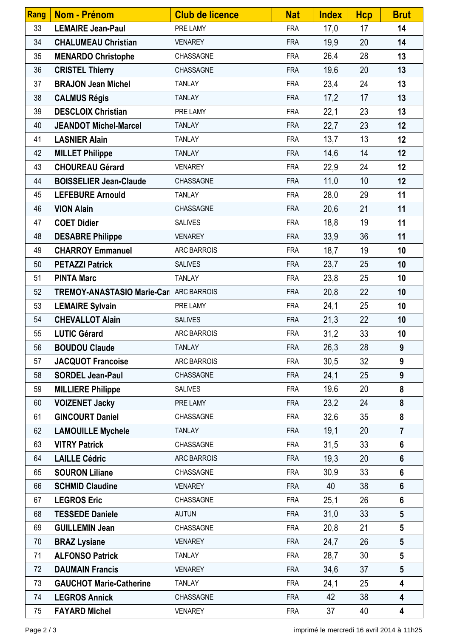| Rang | <b>Nom - Prénom</b>                     | <b>Club de licence</b> | <b>Nat</b> | <b>Index</b> | <b>Hcp</b> | <b>Brut</b>     |
|------|-----------------------------------------|------------------------|------------|--------------|------------|-----------------|
| 33   | <b>LEMAIRE Jean-Paul</b>                | PRE LAMY               | <b>FRA</b> | 17,0         | 17         | 14              |
| 34   | <b>CHALUMEAU Christian</b>              | <b>VENAREY</b>         | <b>FRA</b> | 19,9         | 20         | 14              |
| 35   | <b>MENARDO Christophe</b>               | CHASSAGNE              | <b>FRA</b> | 26,4         | 28         | 13              |
| 36   | <b>CRISTEL Thierry</b>                  | CHASSAGNE              | <b>FRA</b> | 19,6         | 20         | 13              |
| 37   | <b>BRAJON Jean Michel</b>               | <b>TANLAY</b>          | <b>FRA</b> | 23,4         | 24         | 13              |
| 38   | <b>CALMUS Régis</b>                     | <b>TANLAY</b>          | <b>FRA</b> | 17,2         | 17         | 13              |
| 39   | <b>DESCLOIX Christian</b>               | PRE LAMY               | <b>FRA</b> | 22,1         | 23         | 13              |
| 40   | <b>JEANDOT Michel-Marcel</b>            | <b>TANLAY</b>          | <b>FRA</b> | 22,7         | 23         | 12              |
| 41   | <b>LASNIER Alain</b>                    | <b>TANLAY</b>          | <b>FRA</b> | 13,7         | 13         | 12              |
| 42   | <b>MILLET Philippe</b>                  | <b>TANLAY</b>          | <b>FRA</b> | 14,6         | 14         | 12              |
| 43   | <b>CHOUREAU Gérard</b>                  | <b>VENAREY</b>         | <b>FRA</b> | 22,9         | 24         | 12              |
| 44   | <b>BOISSELIER Jean-Claude</b>           | CHASSAGNE              | <b>FRA</b> | 11,0         | 10         | 12              |
| 45   | <b>LEFEBURE Arnould</b>                 | <b>TANLAY</b>          | <b>FRA</b> | 28,0         | 29         | 11              |
| 46   | <b>VION Alain</b>                       | CHASSAGNE              | <b>FRA</b> | 20,6         | 21         | 11              |
| 47   | <b>COET Didier</b>                      | <b>SALIVES</b>         | <b>FRA</b> | 18,8         | 19         | 11              |
| 48   | <b>DESABRE Philippe</b>                 | <b>VENAREY</b>         | <b>FRA</b> | 33,9         | 36         | 11              |
| 49   | <b>CHARROY Emmanuel</b>                 | ARC BARROIS            | <b>FRA</b> | 18,7         | 19         | 10              |
| 50   | <b>PETAZZI Patrick</b>                  | <b>SALIVES</b>         | <b>FRA</b> | 23,7         | 25         | 10              |
| 51   | <b>PINTA Marc</b>                       | <b>TANLAY</b>          | <b>FRA</b> | 23,8         | 25         | 10              |
| 52   | TREMOY-ANASTASIO Marie-Carl ARC BARROIS |                        | <b>FRA</b> | 20,8         | 22         | 10              |
| 53   | <b>LEMAIRE Sylvain</b>                  | PRE LAMY               | <b>FRA</b> | 24,1         | 25         | 10              |
| 54   | <b>CHEVALLOT Alain</b>                  | <b>SALIVES</b>         | <b>FRA</b> | 21,3         | 22         | 10              |
| 55   | <b>LUTIC Gérard</b>                     | <b>ARC BARROIS</b>     | <b>FRA</b> | 31,2         | 33         | 10              |
| 56   | <b>BOUDOU Claude</b>                    | <b>TANLAY</b>          | <b>FRA</b> | 26,3         | 28         | 9               |
| 57   | <b>JACQUOT Francoise</b>                | ARC BARROIS            | <b>FRA</b> | 30,5         | 32         | 9               |
| 58   | <b>SORDEL Jean-Paul</b>                 | CHASSAGNE              | <b>FRA</b> | 24,1         | 25         | 9               |
| 59   | <b>MILLIERE Philippe</b>                | <b>SALIVES</b>         | <b>FRA</b> | 19,6         | 20         | 8               |
| 60   | <b>VOIZENET Jacky</b>                   | PRE LAMY               | <b>FRA</b> | 23,2         | 24         | 8               |
| 61   | <b>GINCOURT Daniel</b>                  | CHASSAGNE              | <b>FRA</b> | 32,6         | 35         | 8               |
| 62   | <b>LAMOUILLE Mychele</b>                | <b>TANLAY</b>          | <b>FRA</b> | 19,1         | 20         | $\overline{7}$  |
| 63   | <b>VITRY Patrick</b>                    | CHASSAGNE              | <b>FRA</b> | 31,5         | 33         | $6\phantom{1}$  |
| 64   | <b>LAILLE Cédric</b>                    | ARC BARROIS            | <b>FRA</b> | 19,3         | 20         | $6\phantom{1}$  |
| 65   | <b>SOURON Liliane</b>                   | CHASSAGNE              | <b>FRA</b> | 30,9         | 33         | $6\phantom{1}$  |
| 66   | <b>SCHMID Claudine</b>                  | <b>VENAREY</b>         | <b>FRA</b> | 40           | 38         | $6\phantom{1}$  |
| 67   | <b>LEGROS Eric</b>                      | CHASSAGNE              | <b>FRA</b> | 25,1         | 26         | $6\phantom{1}$  |
| 68   | <b>TESSEDE Daniele</b>                  | <b>AUTUN</b>           | <b>FRA</b> | 31,0         | 33         | $5\phantom{.0}$ |
| 69   | <b>GUILLEMIN Jean</b>                   | CHASSAGNE              | <b>FRA</b> | 20,8         | 21         | $5\phantom{.0}$ |
| 70   | <b>BRAZ Lysiane</b>                     | <b>VENAREY</b>         | <b>FRA</b> | 24,7         | 26         | $5\overline{)}$ |
| 71   | <b>ALFONSO Patrick</b>                  | <b>TANLAY</b>          | <b>FRA</b> | 28,7         | 30         | $5\phantom{.0}$ |
| 72   | <b>DAUMAIN Francis</b>                  | <b>VENAREY</b>         | <b>FRA</b> | 34,6         | 37         | $5\phantom{.0}$ |
| 73   | <b>GAUCHOT Marie-Catherine</b>          | <b>TANLAY</b>          | <b>FRA</b> | 24,1         | 25         | 4               |
| 74   | <b>LEGROS Annick</b>                    | CHASSAGNE              | <b>FRA</b> | 42           | 38         | 4               |
| 75   | <b>FAYARD Michel</b>                    | <b>VENAREY</b>         | <b>FRA</b> | 37           | 40         | 4               |